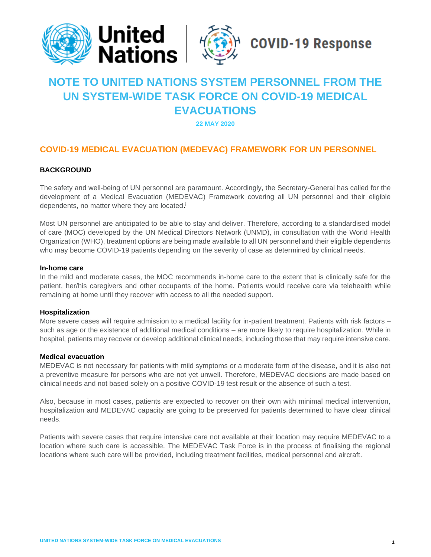

# **NOTE TO UNITED NATIONS SYSTEM PERSONNEL FROM THE UN SYSTEM-WIDE TASK FORCE ON COVID-19 MEDICAL EVACUATIONS**

**22 MAY 2020**

# **COVID-19 MEDICAL EVACUATION (MEDEVAC) FRAMEWORK FOR UN PERSONNEL**

## **BACKGROUND**

The safety and well-being of UN personnel are paramount. Accordingly, the Secretary-General has called for the development of a Medical Evacuation (MEDEVAC) Framework covering all UN personnel and their eligible dependents, no matter where they are located.<sup>i</sup>

Most UN personnel are anticipated to be able to stay and deliver. Therefore, according to a standardised model of care (MOC) developed by the UN Medical Directors Network (UNMD), in consultation with the World Health Organization (WHO), treatment options are being made available to all UN personnel and their eligible dependents who may become COVID-19 patients depending on the severity of case as determined by clinical needs.

## **In-home care**

In the mild and moderate cases, the MOC recommends in-home care to the extent that is clinically safe for the patient, her/his caregivers and other occupants of the home. Patients would receive care via telehealth while remaining at home until they recover with access to all the needed support.

## **Hospitalization**

More severe cases will require admission to a medical facility for in-patient treatment. Patients with risk factors – such as age or the existence of additional medical conditions – are more likely to require hospitalization. While in hospital, patients may recover or develop additional clinical needs, including those that may require intensive care.

## **Medical evacuation**

MEDEVAC is not necessary for patients with mild symptoms or a moderate form of the disease, and it is also not a preventive measure for persons who are not yet unwell. Therefore, MEDEVAC decisions are made based on clinical needs and not based solely on a positive COVID-19 test result or the absence of such a test.

Also, because in most cases, patients are expected to recover on their own with minimal medical intervention, hospitalization and MEDEVAC capacity are going to be preserved for patients determined to have clear clinical needs.

Patients with severe cases that require intensive care not available at their location may require MEDEVAC to a location where such care is accessible. The MEDEVAC Task Force is in the process of finalising the regional locations where such care will be provided, including treatment facilities, medical personnel and aircraft.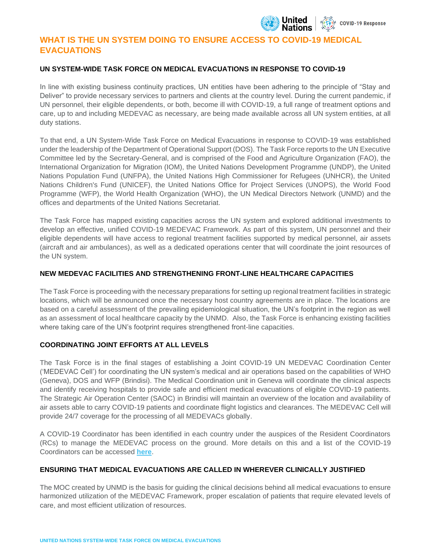

# **WHAT IS THE UN SYSTEM DOING TO ENSURE ACCESS TO COVID-19 MEDICAL EVACUATIONS**

## **UN SYSTEM-WIDE TASK FORCE ON MEDICAL EVACUATIONS IN RESPONSE TO COVID-19**

In line with existing business continuity practices, UN entities have been adhering to the principle of "Stay and Deliver" to provide necessary services to partners and clients at the country level. During the current pandemic, if UN personnel, their eligible dependents, or both, become ill with COVID-19, a full range of treatment options and care, up to and including MEDEVAC as necessary, are being made available across all UN system entities, at all duty stations.

To that end, a UN System-Wide Task Force on Medical Evacuations in response to COVID-19 was established under the leadership of the Department of Operational Support (DOS). The Task Force reports to the UN Executive Committee led by the Secretary-General, and is comprised of the Food and Agriculture Organization (FAO), the International Organization for Migration (IOM), the United Nations Development Programme (UNDP), the United Nations Population Fund (UNFPA), the United Nations High Commissioner for Refugees (UNHCR), the United Nations Children's Fund (UNICEF), the United Nations Office for Project Services (UNOPS), the World Food Programme (WFP), the World Health Organization (WHO), the UN Medical Directors Network (UNMD) and the offices and departments of the United Nations Secretariat.

The Task Force has mapped existing capacities across the UN system and explored additional investments to develop an effective, unified COVID-19 MEDEVAC Framework. As part of this system, UN personnel and their eligible dependents will have access to regional treatment facilities supported by medical personnel, air assets (aircraft and air ambulances), as well as a dedicated operations center that will coordinate the joint resources of the UN system.

## **NEW MEDEVAC FACILITIES AND STRENGTHENING FRONT-LINE HEALTHCARE CAPACITIES**

The Task Force is proceeding with the necessary preparations for setting up regional treatment facilities in strategic locations, which will be announced once the necessary host country agreements are in place. The locations are based on a careful assessment of the prevailing epidemiological situation, the UN's footprint in the region as well as an assessment of local healthcare capacity by the UNMD. Also, the Task Force is enhancing existing facilities where taking care of the UN's footprint requires strengthened front-line capacities.

## **COORDINATING JOINT EFFORTS AT ALL LEVELS**

The Task Force is in the final stages of establishing a Joint COVID-19 UN MEDEVAC Coordination Center ('MEDEVAC Cell') for coordinating the UN system's medical and air operations based on the capabilities of WHO (Geneva), DOS and WFP (Brindisi). The Medical Coordination unit in Geneva will coordinate the clinical aspects and identify receiving hospitals to provide safe and efficient medical evacuations of eligible COVID-19 patients. The Strategic Air Operation Center (SAOC) in Brindisi will maintain an overview of the location and availability of air assets able to carry COVID-19 patients and coordinate flight logistics and clearances. The MEDEVAC Cell will provide 24/7 coverage for the processing of all MEDEVACs globally.

A COVID-19 Coordinator has been identified in each country under the auspices of the Resident Coordinators (RCs) to manage the MEDEVAC process on the ground. More details on this and a list of the COVID-19 Coordinators can be accessed **[here](https://www.un.org/en/coronavirus/covid-19-coordinators)**.

## **ENSURING THAT MEDICAL EVACUATIONS ARE CALLED IN WHEREVER CLINICALLY JUSTIFIED**

The MOC created by UNMD is the basis for guiding the clinical decisions behind all medical evacuations to ensure harmonized utilization of the MEDEVAC Framework, proper escalation of patients that require elevated levels of care, and most efficient utilization of resources.